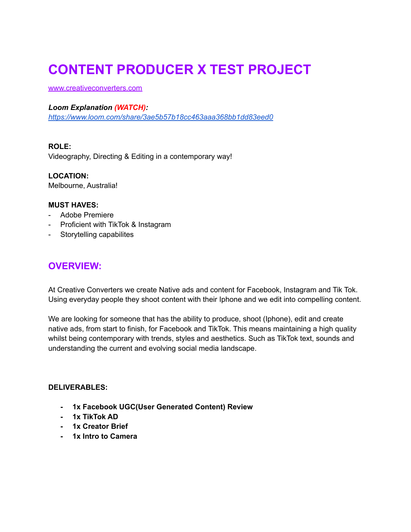# **CONTENT PRODUCER X TEST PROJECT**

[www.creativeconverters.com](http://www.creativeconverters.com)

#### *Loom Explanation (WATCH):*

*<https://www.loom.com/share/3ae5b57b18cc463aaa368bb1dd83eed0>*

#### **ROLE:**

Videography, Directing & Editing in a contemporary way!

**LOCATION:** Melbourne, Australia!

#### **MUST HAVES:**

- Adobe Premiere
- Proficient with TikTok & Instagram
- Storytelling capabilites

## **OVERVIEW:**

At Creative Converters we create Native ads and content for Facebook, Instagram and Tik Tok. Using everyday people they shoot content with their Iphone and we edit into compelling content.

We are looking for someone that has the ability to produce, shoot (Iphone), edit and create native ads, from start to finish, for Facebook and TikTok. This means maintaining a high quality whilst being contemporary with trends, styles and aesthetics. Such as TikTok text, sounds and understanding the current and evolving social media landscape.

#### **DELIVERABLES:**

- **- 1x Facebook UGC(User Generated Content) Review**
- **- 1x TikTok AD**
- **- 1x Creator Brief**
- **- 1x Intro to Camera**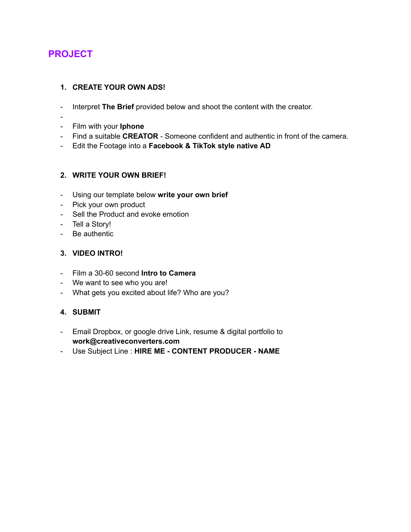# **PROJECT**

#### **1. CREATE YOUR OWN ADS!**

- Interpret **The Brief** provided below and shoot the content with the creator.
- -
- Film with your **Iphone**
- Find a suitable **CREATOR** Someone confident and authentic in front of the camera.
- Edit the Footage into a **Facebook & TikTok style native AD**

#### **2. WRITE YOUR OWN BRIEF!**

- Using our template below **write your own brief**
- Pick your own product
- Sell the Product and evoke emotion
- Tell a Story!
- Be authentic

#### **3. VIDEO INTRO!**

- Film a 30-60 second **Intro to Camera**
- We want to see who you are!
- What gets you excited about life? Who are you?

#### **4. SUBMIT**

- Email Dropbox, or google drive Link, resume & digital portfolio to **work@creativeconverters.com**
- Use Subject Line : **HIRE ME - CONTENT PRODUCER - NAME**